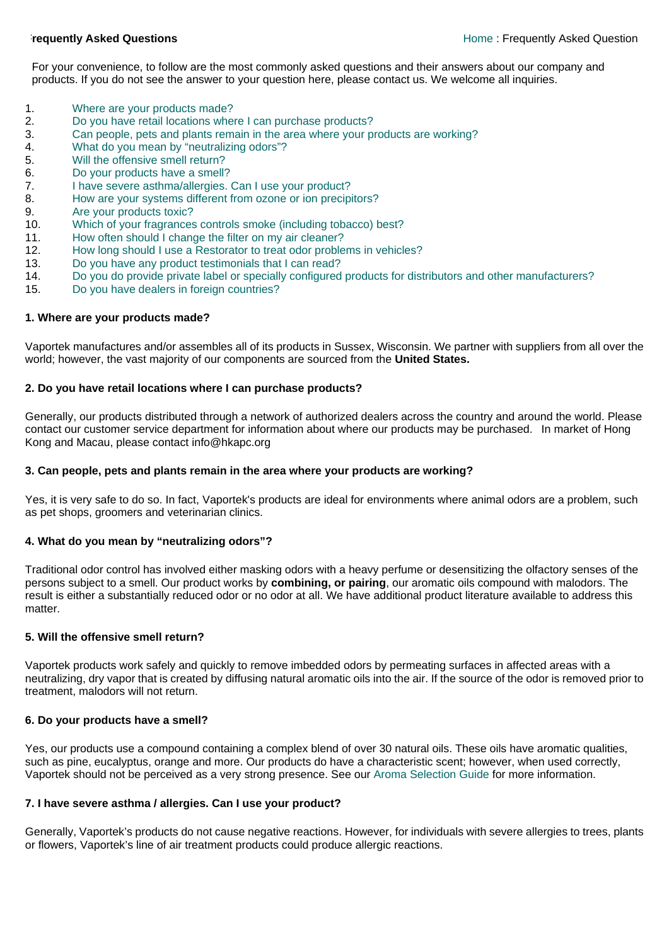For your convenience, to follow are the most commonly asked questions and their answers about our company and products. If you do not see the answer to your question here, please contact us. We welcome all inquiries.

- 1. [Where are your products made?](http://www.vaportek.com/faq.html#1#1)
- 2. [Do you have retail locations where I can purchase products?](http://www.vaportek.com/faq.html#2#2)
- 3. [Can people, pets and plants remain in the area where your products are working?](http://www.vaportek.com/faq.html#3#3)
- 4. [What do you mean by "neutralizing odors"?](http://www.vaportek.com/faq.html#4#4)
- 5. [Will the offensive smell return?](http://www.vaportek.com/faq.html#5#5)
- 6. [Do your products have a smell?](http://www.vaportek.com/faq.html#6#6)
- 7. [I have severe asthma/allergies. Can I use your product?](http://www.vaportek.com/faq.html#7#7)
- 8. [How are your systems different from ozone or ion precipitors?](http://www.vaportek.com/faq.html#8#8)
- 9. [Are your products toxic?](http://www.vaportek.com/faq.html#9#9)
- 10. [Which of your fragrances controls smoke \(including tobacco\) best?](http://www.vaportek.com/faq.html#11#11)
- 11. [How often should I change the filter on my air cleaner?](http://www.vaportek.com/faq.html#12#12)
- 12. [How long should I use a Restorator to treat odor problems in vehicles?](http://www.vaportek.com/faq.html#13#13)
- 13. [Do you have any product testimonials that I can read?](http://www.vaportek.com/faq.html#14#14)
- 14. [Do you do provide private label or specially configured products for distributors and other manufacturers?](http://www.vaportek.com/faq.html#15#15)
- 15. [Do you have dealers in foreign countries?](http://www.vaportek.com/faq.html#16#16)

## **1. Where are your products made?**

Vaportek manufactures and/or assembles all of its products in Sussex, Wisconsin. We partner with suppliers from all over the world; however, the vast majority of our components are sourced from the **United States.** 

## **2. Do you have retail locations where I can purchase products?**

Generally, our products distributed through a network of authorized dealers across the country and around the world. Please contact our customer service department for information about where our products may be purchased. In market of Hong Kong and Macau, please contact info@hkapc.org

## **3. Can people, pets and plants remain in the area where your products are working?**

Yes, it is very safe to do so. In fact, Vaportek's products are ideal for environments where animal odors are a problem, such as pet shops, groomers and veterinarian clinics.

## **4. What do you mean by "neutralizing odors"?**

Traditional odor control has involved either masking odors with a heavy perfume or desensitizing the olfactory senses of the persons subject to a smell. Our product works by **combining, or pairing**, our aromatic oils compound with malodors. The result is either a substantially reduced odor or no odor at all. We have additional product literature available to address this matter.

## **5. Will the offensive smell return?**

Vaportek products work safely and quickly to remove imbedded odors by permeating surfaces in affected areas with a neutralizing, dry vapor that is created by diffusing natural aromatic oils into the air. If the source of the odor is removed prior to treatment, malodors will not return.

## **6. Do your products have a smell?**

Yes, our products use a compound containing a complex blend of over 30 natural oils. These oils have aromatic qualities, such as pine, eucalyptus, orange and more. Our products do have a characteristic scent; however, when used correctly, Vaportek should not be perceived as a very strong presence. See our [Aroma Selection Guide](http://www.vaportek.com/aromas.html) for more information.

# **7. I have severe asthma / allergies. Can I use your product?**

Generally, Vaportek's products do not cause negative reactions. However, for individuals with severe allergies to trees, plants or flowers, Vaportek's line of air treatment products could produce allergic reactions.